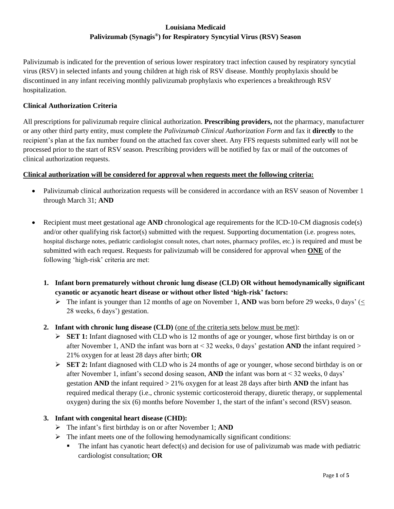## **Louisiana Medicaid Palivizumab (Synagis® ) for Respiratory Syncytial Virus (RSV) Season**

Palivizumab is indicated for the prevention of serious lower respiratory tract infection caused by respiratory syncytial virus (RSV) in selected infants and young children at high risk of RSV disease. Monthly prophylaxis should be discontinued in any infant receiving monthly palivizumab prophylaxis who experiences a breakthrough RSV hospitalization.

## **Clinical Authorization Criteria**

All prescriptions for palivizumab require clinical authorization. **Prescribing providers,** not the pharmacy, manufacturer or any other third party entity, must complete the *Palivizumab Clinical Authorization Form* and fax it **directly** to the recipient's plan at the fax number found on the attached fax cover sheet. Any FFS requests submitted early will not be processed prior to the start of RSV season. Prescribing providers will be notified by fax or mail of the outcomes of clinical authorization requests.

#### **Clinical authorization will be considered for approval when requests meet the following criteria:**

- Palivizumab clinical authorization requests will be considered in accordance with an RSV season of November 1 through March 31; **AND**
- Recipient must meet gestational age **AND** chronological age requirements for the ICD-10-CM diagnosis code(s) and/or other qualifying risk factor(s) submitted with the request. Supporting documentation (i.e. progress notes, hospital discharge notes, pediatric cardiologist consult notes, chart notes, pharmacy profiles, etc*.*) is required and must be submitted with each request. Requests for palivizumab will be considered for approval when **ONE** of the following 'high-risk' criteria are met:
	- **1. Infant born prematurely without chronic lung disease (CLD) OR without hemodynamically significant cyanotic or acyanotic heart disease or without other listed 'high-risk' factors:**
		- $\triangleright$  The infant is younger than 12 months of age on November 1, **AND** was born before 29 weeks, 0 days' (< 28 weeks, 6 days') gestation.
	- **2. Infant with chronic lung disease (CLD)** (one of the criteria sets below must be met):
		- ➢ **SET 1:** Infant diagnosed with CLD who is 12 months of age or younger, whose first birthday is on or after November 1, AND the infant was born at < 32 weeks, 0 days' gestation **AND** the infant required > 21% oxygen for at least 28 days after birth; **OR**
		- ➢ **SET 2:** Infant diagnosed with CLD who is 24 months of age or younger, whose second birthday is on or after November 1, infant's second dosing season, **AND** the infant was born at < 32 weeks, 0 days' gestation **AND** the infant required > 21% oxygen for at least 28 days after birth **AND** the infant has required medical therapy (i.e., chronic systemic corticosteroid therapy, diuretic therapy, or supplemental oxygen) during the six (6) months before November 1, the start of the infant's second (RSV) season.

#### **3. Infant with congenital heart disease (CHD):**

- ➢ The infant's first birthday is on or after November 1; **AND**
- $\triangleright$  The infant meets one of the following hemodynamically significant conditions:
	- $\blacksquare$  The infant has cyanotic heart defect(s) and decision for use of palivizumab was made with pediatric cardiologist consultation; **OR**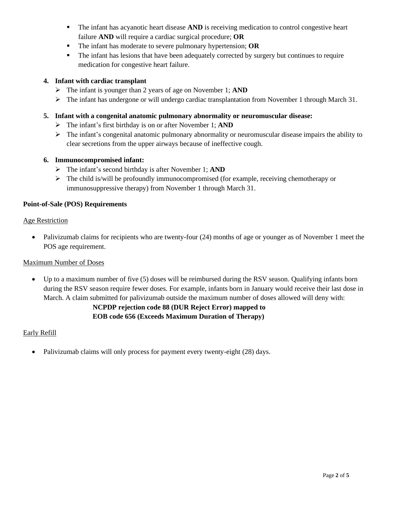- **The infant has acyanotic heart disease AND** is receiving medication to control congestive heart failure **AND** will require a cardiac surgical procedure; **OR**
- The infant has moderate to severe pulmonary hypertension; **OR**
- The infant has lesions that have been adequately corrected by surgery but continues to require medication for congestive heart failure.

#### **4. Infant with cardiac transplant**

- ➢ The infant is younger than 2 years of age on November 1; **AND**
- ➢ The infant has undergone or will undergo cardiac transplantation from November 1 through March 31.

#### **5. Infant with a congenital anatomic pulmonary abnormality or neuromuscular disease:**

- ➢ The infant's first birthday is on or after November 1; **AND**
- ➢ The infant's congenital anatomic pulmonary abnormality or neuromuscular disease impairs the ability to clear secretions from the upper airways because of ineffective cough.

#### **6. Immunocompromised infant:**

- ➢ The infant's second birthday is after November 1; **AND**
- $\triangleright$  The child is/will be profoundly immunocompromised (for example, receiving chemotherapy or immunosuppressive therapy) from November 1 through March 31.

#### **Point-of-Sale (POS) Requirements**

#### Age Restriction

• Palivizumab claims for recipients who are twenty-four (24) months of age or younger as of November 1 meet the POS age requirement.

#### Maximum Number of Doses

• Up to a maximum number of five (5) doses will be reimbursed during the RSV season. Qualifying infants born during the RSV season require fewer doses. For example, infants born in January would receive their last dose in March. A claim submitted for palivizumab outside the maximum number of doses allowed will deny with:

## **NCPDP rejection code 88 (DUR Reject Error) mapped to EOB code 656 (Exceeds Maximum Duration of Therapy)**

#### Early Refill

• Palivizumab claims will only process for payment every twenty-eight (28) days.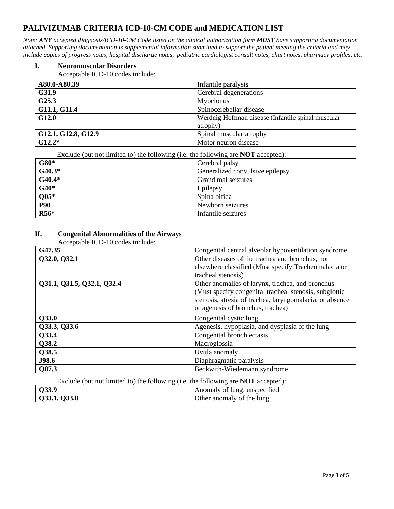# **PALIVIZUMAB CRITERIA ICD-10-CM CODE and MEDICATION LIST**

*Note: ANY accepted diagnosis/ICD-10-CM Code listed on the clinical authorization form MUST have supporting documentation attached. Supporting documentation is supplemental information submitted to support the patient meeting the criteria and may include copies of progress notes, hospital discharge notes, pediatric cardiologist consult notes, chart notes, pharmacy profiles, etc.*

#### **I. Neuromuscular Disorders**

Acceptable ICD-10 codes include:

| A80.0-A80.39        | Infantile paralysis                                |
|---------------------|----------------------------------------------------|
| G31.9               | Cerebral degenerations                             |
| G25.3               | Myoclonus                                          |
| G11.1, G11.4        | Spinocerebellar disease                            |
| G12.0               | Werdnig-Hoffman disease (Infantile spinal muscular |
|                     | atrophy)                                           |
| G12.1, G12.8, G12.9 | Spinal muscular atrophy                            |
| $G12.2*$            | Motor neuron disease                               |

Exclude (but not limited to) the following (i.e. the following are **NOT** accepted):

| $G80*$     | Cerebral palsy                  |
|------------|---------------------------------|
| $G40.3*$   | Generalized convulsive epilepsy |
| $G40.4*$   | Grand mal seizures              |
| $G40*$     | Epilepsy                        |
| $Q05*$     | Spina bifida                    |
| <b>P90</b> | Newborn seizures                |
| $R56*$     | Infantile seizures              |

## **II. Congenital Abnormalities of the Airways**

| Congenital central alveolar hypoventilation syndrome     |
|----------------------------------------------------------|
| Other diseases of the trachea and bronchus, not          |
| elsewhere classified (Must specify Tracheomalacia or     |
| tracheal stenosis)                                       |
| Other anomalies of larynx, trachea, and bronchus         |
| (Must specify congenital tracheal stenosis, subglottic   |
| stenosis, atresia of trachea, laryngomalacia, or absence |
| or agenesis of bronchus, trachea)                        |
| Congenital cystic lung                                   |
| Agenesis, hypoplasia, and dysplasia of the lung          |
| Congenital bronchiectasis                                |
| Macroglossia                                             |
| Uvula anomaly                                            |
| Diaphragmatic paralysis                                  |
| Beckwith-Wiedemann syndrome                              |
|                                                          |

Exclude (but not limited to) the following (i.e. the following are **NOT** accepted):

| Q33.9            | $\cdot$<br>Anomaly of<br>unspecified<br>∙ lung. |
|------------------|-------------------------------------------------|
| .133.8<br>UJJ.L, | Other anomaly of the lung                       |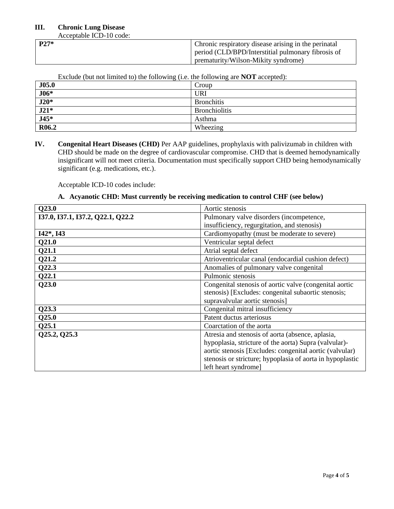#### **III. Chronic Lung Disease**

Acceptable ICD-10 code:

| $P27*$ | Chronic respiratory disease arising in the perinatal |
|--------|------------------------------------------------------|
|        | period (CLD/BPD/Interstitial pulmonary fibrosis of   |
|        | prematurity/Wilson-Mikity syndrome)                  |

| $P_{\text{m}}$ and $P_{\text{m}}$ and $P_{\text{m}}$ and $P_{\text{m}}$ and $P_{\text{m}}$ and $P_{\text{m}}$ and $P_{\text{m}}$ are $P_{\text{m}}$ . |                      |
|-------------------------------------------------------------------------------------------------------------------------------------------------------|----------------------|
| J05.0                                                                                                                                                 | Croup                |
| $\overline{J06*}$                                                                                                                                     | URI                  |
| $J20*$                                                                                                                                                | <b>Bronchitis</b>    |
| $J21*$                                                                                                                                                | <b>Bronchiolitis</b> |
| $J45*$                                                                                                                                                | Asthma               |
| R <sub>06.2</sub>                                                                                                                                     | Wheezing             |

Exclude (but not limited to) the following (i.e. the following are **NOT** accepted):

**IV. Congenital Heart Diseases (CHD)** Per AAP guidelines, prophylaxis with palivizumab in children with CHD should be made on the degree of cardiovascular compromise. CHD that is deemed hemodynamically insignificant will not meet criteria. Documentation must specifically support CHD being hemodynamically significant (e.g. medications, etc.).

Acceptable ICD-10 codes include:

#### **A. Acyanotic CHD: Must currently be receiving medication to control CHF (see below)**

| Q23.0                             | Aortic stenosis                                           |  |
|-----------------------------------|-----------------------------------------------------------|--|
| I37.0, I37.1, I37.2, Q22.1, Q22.2 | Pulmonary valve disorders (incompetence,                  |  |
|                                   | insufficiency, regurgitation, and stenosis)               |  |
| $I42^*, I43$                      | Cardiomyopathy (must be moderate to severe)               |  |
| Q21.0                             | Ventricular septal defect                                 |  |
| Q21.1                             | Atrial septal defect                                      |  |
| Q21.2                             | Atrioventricular canal (endocardial cushion defect)       |  |
| Q22.3                             | Anomalies of pulmonary valve congenital                   |  |
| Q22.1                             | Pulmonic stenosis                                         |  |
| Q23.0                             | Congenital stenosis of aortic valve (congenital aortic    |  |
|                                   | stenosis) [Excludes: congenital subaortic stenosis;       |  |
|                                   | supravalvular aortic stenosis]                            |  |
| Q23.3                             | Congenital mitral insufficiency                           |  |
| Q25.0                             | Patent ductus arteriosus                                  |  |
| Q25.1                             | Coarctation of the aorta                                  |  |
| Q25.2, Q25.3                      | Atresia and stenosis of aorta (absence, aplasia,          |  |
|                                   | hypoplasia, stricture of the aorta) Supra (valvular)-     |  |
|                                   | aortic stenosis [Excludes: congenital aortic (valvular)   |  |
|                                   | stenosis or stricture; hypoplasia of aorta in hypoplastic |  |
|                                   | left heart syndrome]                                      |  |